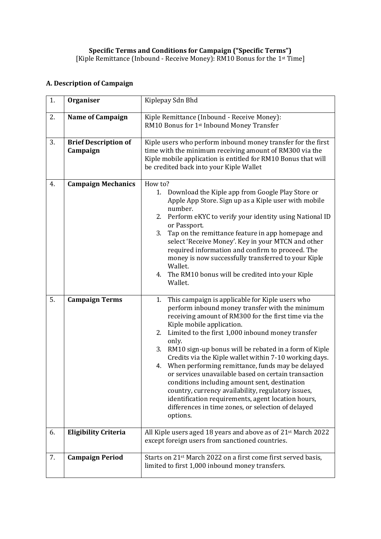## **A. Description of Campaign**

| 1. | Organiser                               | Kiplepay Sdn Bhd                                                                                                                                                                                                                                                                                                                                                                                                                                                                                                                                                                                                                                                                                                                         |
|----|-----------------------------------------|------------------------------------------------------------------------------------------------------------------------------------------------------------------------------------------------------------------------------------------------------------------------------------------------------------------------------------------------------------------------------------------------------------------------------------------------------------------------------------------------------------------------------------------------------------------------------------------------------------------------------------------------------------------------------------------------------------------------------------------|
| 2. | <b>Name of Campaign</b>                 | Kiple Remittance (Inbound - Receive Money):<br>RM10 Bonus for 1st Inbound Money Transfer                                                                                                                                                                                                                                                                                                                                                                                                                                                                                                                                                                                                                                                 |
| 3. | <b>Brief Description of</b><br>Campaign | Kiple users who perform inbound money transfer for the first<br>time with the minimum receiving amount of RM300 via the<br>Kiple mobile application is entitled for RM10 Bonus that will<br>be credited back into your Kiple Wallet                                                                                                                                                                                                                                                                                                                                                                                                                                                                                                      |
| 4. | <b>Campaign Mechanics</b>               | How to?<br>Download the Kiple app from Google Play Store or<br>1.<br>Apple App Store. Sign up as a Kiple user with mobile<br>number.<br>2. Perform eKYC to verify your identity using National ID<br>or Passport.<br>3. Tap on the remittance feature in app homepage and<br>select 'Receive Money'. Key in your MTCN and other<br>required information and confirm to proceed. The<br>money is now successfully transferred to your Kiple<br>Wallet.<br>The RM10 bonus will be credited into your Kiple<br>4.<br>Wallet.                                                                                                                                                                                                                |
| 5. | <b>Campaign Terms</b>                   | This campaign is applicable for Kiple users who<br>1.<br>perform inbound money transfer with the minimum<br>receiving amount of RM300 for the first time via the<br>Kiple mobile application.<br>2. Limited to the first 1,000 inbound money transfer<br>only.<br>RM10 sign-up bonus will be rebated in a form of Kiple<br>3.<br>Credits via the Kiple wallet within 7-10 working days.<br>When performing remittance, funds may be delayed<br>4.<br>or services unavailable based on certain transaction<br>conditions including amount sent, destination<br>country, currency availability, regulatory issues,<br>identification requirements, agent location hours,<br>differences in time zones, or selection of delayed<br>options. |
| 6. | <b>Eligibility Criteria</b>             | All Kiple users aged 18 years and above as of 21 <sup>st</sup> March 2022<br>except foreign users from sanctioned countries.                                                                                                                                                                                                                                                                                                                                                                                                                                                                                                                                                                                                             |
| 7. | <b>Campaign Period</b>                  | Starts on 21 <sup>st</sup> March 2022 on a first come first served basis,<br>limited to first 1,000 inbound money transfers.                                                                                                                                                                                                                                                                                                                                                                                                                                                                                                                                                                                                             |